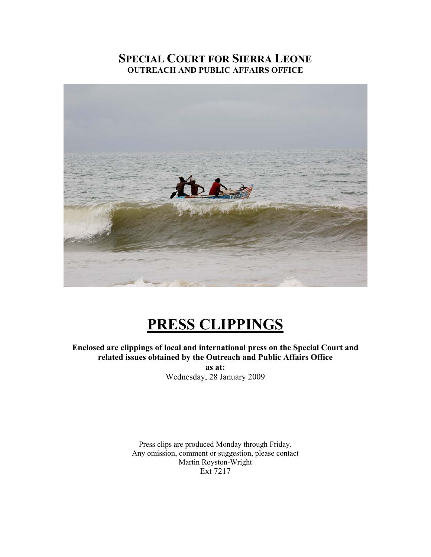## **SPECIAL COURT FOR SIERRA LEONE OUTREACH AND PUBLIC AFFAIRS OFFICE**



# **PRESS CLIPPINGS**

**Enclosed are clippings of local and international press on the Special Court and related issues obtained by the Outreach and Public Affairs Office as at:**  Wednesday, 28 January 2009

Press clips are produced Monday through Friday. Any omission, comment or suggestion, please contact Martin Royston-Wright Ext 7217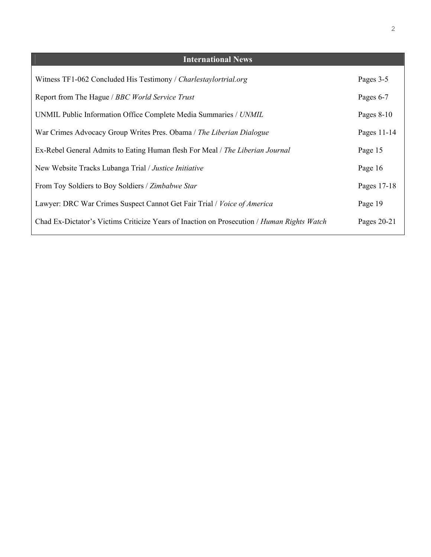| <b>International News</b>                                                                  |              |
|--------------------------------------------------------------------------------------------|--------------|
| Witness TF1-062 Concluded His Testimony / Charlestaylortrial.org                           | Pages 3-5    |
| Report from The Hague / BBC World Service Trust                                            | Pages 6-7    |
| UNMIL Public Information Office Complete Media Summaries / UNMIL                           | Pages $8-10$ |
| War Crimes Advocacy Group Writes Pres. Obama / The Liberian Dialogue                       | Pages 11-14  |
| Ex-Rebel General Admits to Eating Human flesh For Meal / The Liberian Journal              | Page 15      |
| New Website Tracks Lubanga Trial / Justice Initiative                                      | Page 16      |
| From Toy Soldiers to Boy Soldiers / Zimbabwe Star                                          | Pages 17-18  |
| Lawyer: DRC War Crimes Suspect Cannot Get Fair Trial / Voice of America                    | Page 19      |
| Chad Ex-Dictator's Victims Criticize Years of Inaction on Prosecution / Human Rights Watch | Pages 20-21  |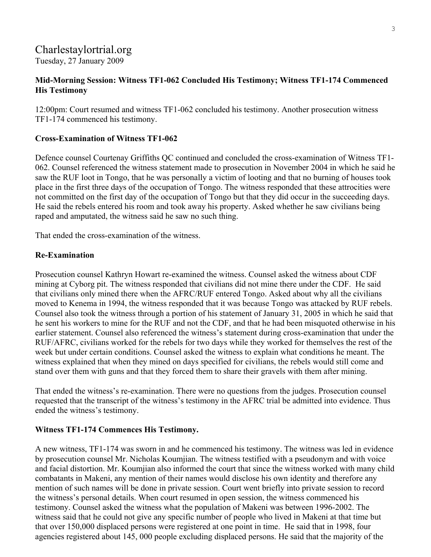## Charlestaylortrial.org Tuesday, 27 January 2009

#### **Mid-Morning Session: Witness TF1-062 Concluded His Testimony; Witness TF1-174 Commenced His Testimony**

12:00pm: Court resumed and witness TF1-062 concluded his testimony. Another prosecution witness TF1-174 commenced his testimony.

#### **Cross-Examination of Witness TF1-062**

Defence counsel Courtenay Griffiths QC continued and concluded the cross-examination of Witness TF1- 062. Counsel referenced the witness statement made to prosecution in November 2004 in which he said he saw the RUF loot in Tongo, that he was personally a victim of looting and that no burning of houses took place in the first three days of the occupation of Tongo. The witness responded that these attrocities were not committed on the first day of the occupation of Tongo but that they did occur in the succeeding days. He said the rebels entered his room and took away his property. Asked whether he saw civilians being raped and amputated, the witness said he saw no such thing.

That ended the cross-examination of the witness.

#### **Re-Examination**

Prosecution counsel Kathryn Howart re-examined the witness. Counsel asked the witness about CDF mining at Cyborg pit. The witness responded that civilians did not mine there under the CDF. He said that civilians only mined there when the AFRC/RUF entered Tongo. Asked about why all the civilians moved to Kenema in 1994, the witness responded that it was because Tongo was attacked by RUF rebels. Counsel also took the witness through a portion of his statement of January 31, 2005 in which he said that he sent his workers to mine for the RUF and not the CDF, and that he had been misquoted otherwise in his earlier statement. Counsel also referenced the witness's statement during cross-examination that under the RUF/AFRC, civilians worked for the rebels for two days while they worked for themselves the rest of the week but under certain conditions. Counsel asked the witness to explain what conditions he meant. The witness explained that when they mined on days specified for civilians, the rebels would still come and stand over them with guns and that they forced them to share their gravels with them after mining.

That ended the witness's re-examination. There were no questions from the judges. Prosecution counsel requested that the transcript of the witness's testimony in the AFRC trial be admitted into evidence. Thus ended the witness's testimony.

#### **Witness TF1-174 Commences His Testimony.**

A new witness, TF1-174 was sworn in and he commenced his testimony. The witness was led in evidence by prosecution counsel Mr. Nicholas Koumjian. The witness testified with a pseudonym and with voice and facial distortion. Mr. Koumjian also informed the court that since the witness worked with many child combatants in Makeni, any mention of their names would disclose his own identity and therefore any mention of such names will be done in private session. Court went briefly into private session to record the witness's personal details. When court resumed in open session, the witness commenced his testimony. Counsel asked the witness what the population of Makeni was between 1996-2002. The witness said that he could not give any specific number of people who lived in Makeni at that time but that over 150,000 displaced persons were registered at one point in time. He said that in 1998, four agencies registered about 145, 000 people excluding displaced persons. He said that the majority of the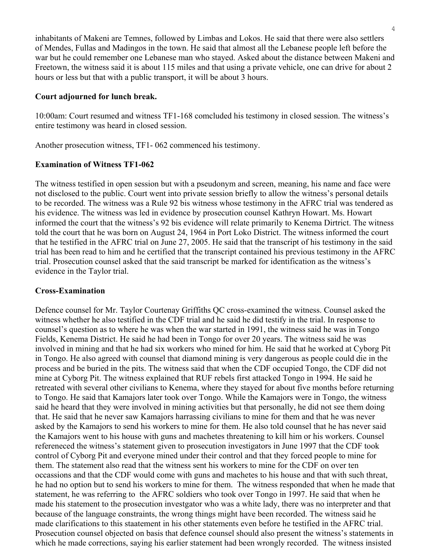inhabitants of Makeni are Temnes, followed by Limbas and Lokos. He said that there were also settlers of Mendes, Fullas and Madingos in the town. He said that almost all the Lebanese people left before the war but he could remember one Lebanese man who stayed. Asked about the distance between Makeni and Freetown, the witness said it is about 115 miles and that using a private vehicle, one can drive for about 2 hours or less but that with a public transport, it will be about 3 hours.

#### **Court adjourned for lunch break.**

10:00am: Court resumed and witness TF1-168 comcluded his testimony in closed session. The witness's entire testimony was heard in closed session.

Another prosecution witness, TF1- 062 commenced his testimony.

#### **Examination of Witness TF1-062**

The witness testified in open session but with a pseudonym and screen, meaning, his name and face were not disclosed to the public. Court went into private session briefly to allow the witness's personal details to be recorded. The witness was a Rule 92 bis witness whose testimony in the AFRC trial was tendered as his evidence. The witness was led in evidence by prosecution counsel Kathryn Howart. Ms. Howart informed the court that the witness's 92 bis evidence will relate primarily to Kenema Dirtrict. The witness told the court that he was born on August 24, 1964 in Port Loko District. The witness informed the court that he testified in the AFRC trial on June 27, 2005. He said that the transcript of his testimony in the said trial has been read to him and he certified that the transcript contained his previous testimony in the AFRC trial. Prosecution counsel asked that the said transcript be marked for identification as the witness's evidence in the Taylor trial.

#### **Cross-Examination**

Defence counsel for Mr. Taylor Courtenay Griffiths QC cross-examined the witness. Counsel asked the witness whether he also testified in the CDF trial and he said he did testify in the trial. In response to counsel's question as to where he was when the war started in 1991, the witness said he was in Tongo Fields, Kenema District. He said he had been in Tongo for over 20 years. The witness said he was involved in mining and that he had six workers who mined for him. He said that he worked at Cyborg Pit in Tongo. He also agreed with counsel that diamond mining is very dangerous as people could die in the process and be buried in the pits. The witness said that when the CDF occupied Tongo, the CDF did not mine at Cyborg Pit. The witness explained that RUF rebels first attacked Tongo in 1994. He said he retreated with several other civilians to Kenema, where they stayed for about five months before returning to Tongo. He said that Kamajors later took over Tongo. While the Kamajors were in Tongo, the witness said he heard that they were involved in mining activities but that personally, he did not see them doing that. He said that he never saw Kamajors harrassing civilians to mine for them and that he was never asked by the Kamajors to send his workers to mine for them. He also told counsel that he has never said the Kamajors went to his house with guns and machetes threatening to kill him or his workers. Counsel refereneced the witness's statement given to prosecution investigators in June 1997 that the CDF took control of Cyborg Pit and everyone mined under their control and that they forced people to mine for them. The statement also read that the witness sent his workers to mine for the CDF on over ten occassions and that the CDF would come with guns and machetes to his house and that with such threat, he had no option but to send his workers to mine for them. The witness responded that when he made that statement, he was referring to the AFRC soldiers who took over Tongo in 1997. He said that when he made his statement to the prosecution investgator who was a white lady, there was no interpreter and that because of the language constraints, the wrong things might have been recorded. The witness said he made clarifications to this staatement in his other statements even before he testified in the AFRC trial. Prosecution counsel objected on basis that defence counsel should also present the witness's statements in which he made corrections, saying his earlier statement had been wrongly recorded. The witness insisted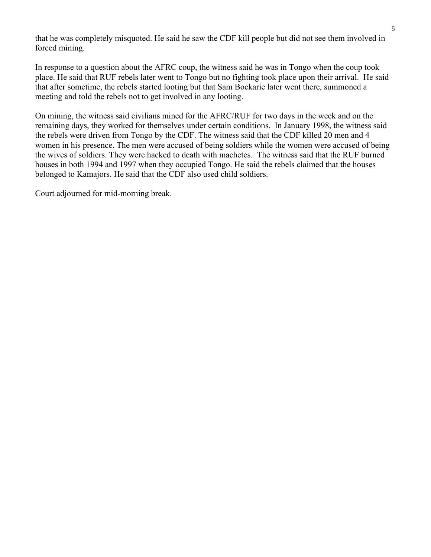that he was completely misquoted. He said he saw the CDF kill people but did not see them involved in forced mining.

In response to a question about the AFRC coup, the witness said he was in Tongo when the coup took place. He said that RUF rebels later went to Tongo but no fighting took place upon their arrival. He said that after sometime, the rebels started looting but that Sam Bockarie later went there, summoned a meeting and told the rebels not to get involved in any looting.

On mining, the witness said civilians mined for the AFRC/RUF for two days in the week and on the remaining days, they worked for themselves under certain conditions. In January 1998, the witness said the rebels were driven from Tongo by the CDF. The witness said that the CDF killed 20 men and 4 women in his presence. The men were accused of being soldiers while the women were accused of being the wives of soldiers. They were hacked to death with machetes. The witness said that the RUF burned houses in both 1994 and 1997 when they occupied Tongo. He said the rebels claimed that the houses belonged to Kamajors. He said that the CDF also used child soldiers.

Court adjourned for mid-morning break.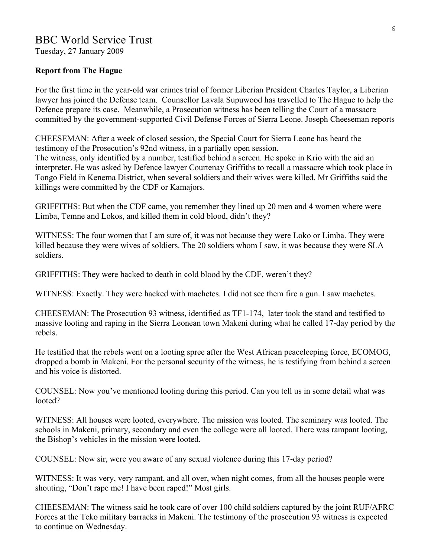## BBC World Service Trust

Tuesday, 27 January 2009

#### **Report from The Hague**

For the first time in the year-old war crimes trial of former Liberian President Charles Taylor, a Liberian lawyer has joined the Defense team. Counsellor Lavala Supuwood has travelled to The Hague to help the Defence prepare its case. Meanwhile, a Prosecution witness has been telling the Court of a massacre committed by the government-supported Civil Defense Forces of Sierra Leone. Joseph Cheeseman reports

CHEESEMAN: After a week of closed session, the Special Court for Sierra Leone has heard the testimony of the Prosecution's 92nd witness, in a partially open session.

The witness, only identified by a number, testified behind a screen. He spoke in Krio with the aid an interpreter. He was asked by Defence lawyer Courtenay Griffiths to recall a massacre which took place in Tongo Field in Kenema District, when several soldiers and their wives were killed. Mr Griffiths said the killings were committed by the CDF or Kamajors.

GRIFFITHS: But when the CDF came, you remember they lined up 20 men and 4 women where were Limba, Temne and Lokos, and killed them in cold blood, didn't they?

WITNESS: The four women that I am sure of, it was not because they were Loko or Limba. They were killed because they were wives of soldiers. The 20 soldiers whom I saw, it was because they were SLA soldiers.

GRIFFITHS: They were hacked to death in cold blood by the CDF, weren't they?

WITNESS: Exactly. They were hacked with machetes. I did not see them fire a gun. I saw machetes.

CHEESEMAN: The Prosecution 93 witness, identified as TF1-174, later took the stand and testified to massive looting and raping in the Sierra Leonean town Makeni during what he called 17-day period by the rebels.

He testified that the rebels went on a looting spree after the West African peaceleeping force, ECOMOG, dropped a bomb in Makeni. For the personal security of the witness, he is testifying from behind a screen and his voice is distorted.

COUNSEL: Now you've mentioned looting during this period. Can you tell us in some detail what was looted?

WITNESS: All houses were looted, everywhere. The mission was looted. The seminary was looted. The schools in Makeni, primary, secondary and even the college were all looted. There was rampant looting, the Bishop's vehicles in the mission were looted.

COUNSEL: Now sir, were you aware of any sexual violence during this 17-day period?

WITNESS: It was very, very rampant, and all over, when night comes, from all the houses people were shouting, "Don't rape me! I have been raped!" Most girls.

CHEESEMAN: The witness said he took care of over 100 child soldiers captured by the joint RUF/AFRC Forces at the Teko military barracks in Makeni. The testimony of the prosecution 93 witness is expected to continue on Wednesday.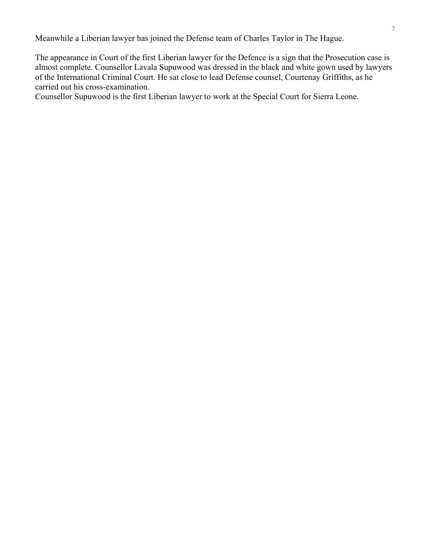Meanwhile a Liberian lawyer has joined the Defense team of Charles Taylor in The Hague.

The appearance in Court of the first Liberian lawyer for the Defence is a sign that the Prosecution case is almost complete. Counsellor Lavala Supuwood was dressed in the black and white gown used by lawyers of the International Criminal Court. He sat close to lead Defense counsel, Courtenay Griffiths, as he carried out his cross-examination.

Counsellor Supuwood is the first Liberian lawyer to work at the Special Court for Sierra Leone.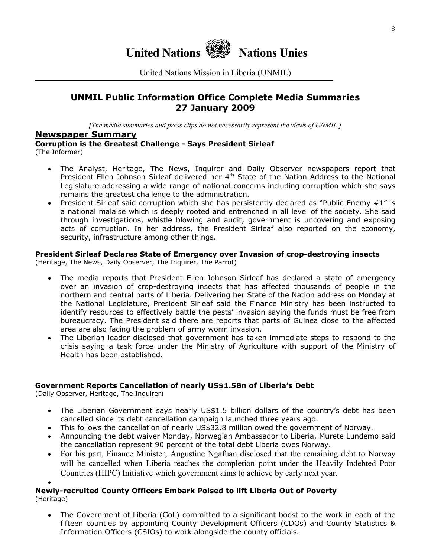

United Nations Mission in Liberia (UNMIL)

## **UNMIL Public Information Office Complete Media Summaries 27 January 2009**

*[The media summaries and press clips do not necessarily represent the views of UNMIL.]*

#### **Newspaper Summary**

**Corruption is the Greatest Challenge - Says President Sirleaf** 

(The Informer)

- The Analyst, Heritage, The News, Inquirer and Daily Observer newspapers report that President Ellen Johnson Sirleaf delivered her 4<sup>th</sup> State of the Nation Address to the National Legislature addressing a wide range of national concerns including corruption which she says remains the greatest challenge to the administration.
- President Sirleaf said corruption which she has persistently declared as "Public Enemy  $#1$ " is a national malaise which is deeply rooted and entrenched in all level of the society. She said through investigations, whistle blowing and audit, government is uncovering and exposing acts of corruption. In her address, the President Sirleaf also reported on the economy, security, infrastructure among other things.

#### **President Sirleaf Declares State of Emergency over Invasion of crop-destroying insects**

(Heritage, The News, Daily Observer, The Inquirer, The Parrot)

- The media reports that President Ellen Johnson Sirleaf has declared a state of emergency over an invasion of crop-destroying insects that has affected thousands of people in the northern and central parts of Liberia. Delivering her State of the Nation address on Monday at the National Legislature, President Sirleaf said the Finance Ministry has been instructed to identify resources to effectively battle the pests' invasion saying the funds must be free from bureaucracy. The President said there are reports that parts of Guinea close to the affected area are also facing the problem of army worm invasion.
- The Liberian leader disclosed that government has taken immediate steps to respond to the crisis saying a task force under the Ministry of Agriculture with support of the Ministry of Health has been established.

#### **Government Reports Cancellation of nearly US\$1.5Bn of Liberia's Debt**

(Daily Observer, Heritage, The Inquirer)

- The Liberian Government says nearly US\$1.5 billion dollars of the country's debt has been cancelled since its debt cancellation campaign launched three years ago.
- This follows the cancellation of nearly US\$32.8 million owed the government of Norway.
- Announcing the debt waiver Monday, Norwegian Ambassador to Liberia, Murete Lundemo said the cancellation represent 90 percent of the total debt Liberia owes Norway.
- For his part, Finance Minister, Augustine Ngafuan disclosed that the remaining debt to Norway will be cancelled when Liberia reaches the completion point under the Heavily Indebted Poor Countries (HIPC) Initiative which government aims to achieve by early next year.

#### • **Newly-recruited County Officers Embark Poised to lift Liberia Out of Poverty**  (Heritage)

• The Government of Liberia (GoL) committed to a significant boost to the work in each of the fifteen counties by appointing County Development Officers (CDOs) and County Statistics & Information Officers (CSIOs) to work alongside the county officials.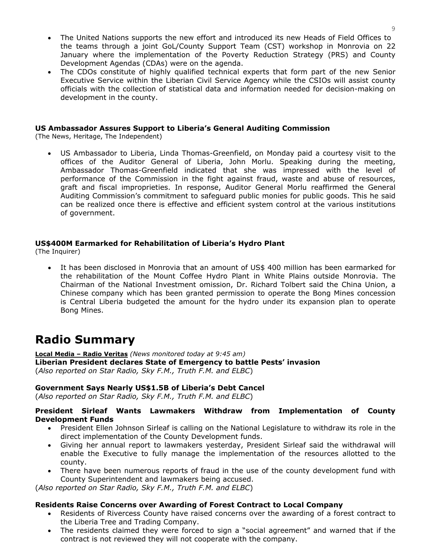- The United Nations supports the new effort and introduced its new Heads of Field Offices to the teams through a joint GoL/County Support Team (CST) workshop in Monrovia on 22 January where the implementation of the Poverty Reduction Strategy (PRS) and County Development Agendas (CDAs) were on the agenda.
- The CDOs constitute of highly qualified technical experts that form part of the new Senior Executive Service within the Liberian Civil Service Agency while the CSIOs will assist county officials with the collection of statistical data and information needed for decision-making on development in the county.

#### **US Ambassador Assures Support to Liberia's General Auditing Commission**

(The News, Heritage, The Independent)

• US Ambassador to Liberia, Linda Thomas-Greenfield, on Monday paid a courtesy visit to the offices of the Auditor General of Liberia, John Morlu. Speaking during the meeting, Ambassador Thomas-Greenfield indicated that she was impressed with the level of performance of the Commission in the fight against fraud, waste and abuse of resources, graft and fiscal improprieties. In response, Auditor General Morlu reaffirmed the General Auditing Commission's commitment to safeguard public monies for public goods. This he said can be realized once there is effective and efficient system control at the various institutions of government.

#### **US\$400M Earmarked for Rehabilitation of Liberia's Hydro Plant**

(The Inquirer)

• It has been disclosed in Monrovia that an amount of US\$ 400 million has been earmarked for the rehabilitation of the Mount Coffee Hydro Plant in White Plains outside Monrovia. The Chairman of the National Investment omission, Dr. Richard Tolbert said the China Union, a Chinese company which has been granted permission to operate the Bong Mines concession is Central Liberia budgeted the amount for the hydro under its expansion plan to operate Bong Mines.

## **Radio Summary**

**Local Media – Radio Veritas** *(News monitored today at 9:45 am)* **Liberian President declares State of Emergency to battle Pests' invasion**  (*Also reported on Star Radio, Sky F.M., Truth F.M. and ELBC*)

#### **Government Says Nearly US\$1.5B of Liberia's Debt Cancel**

(*Also reported on Star Radio, Sky F.M., Truth F.M. and ELBC*)

#### **President Sirleaf Wants Lawmakers Withdraw from Implementation of County Development Funds**

- President Ellen Johnson Sirleaf is calling on the National Legislature to withdraw its role in the direct implementation of the County Development funds.
- Giving her annual report to lawmakers yesterday, President Sirleaf said the withdrawal will enable the Executive to fully manage the implementation of the resources allotted to the county.
- There have been numerous reports of fraud in the use of the county development fund with County Superintendent and lawmakers being accused.

(*Also reported on Star Radio, Sky F.M., Truth F.M. and ELBC*)

#### **Residents Raise Concerns over Awarding of Forest Contract to Local Company**

- Residents of Rivercess County have raised concerns over the awarding of a forest contract to the Liberia Tree and Trading Company.
- The residents claimed they were forced to sign a "social agreement" and warned that if the contract is not reviewed they will not cooperate with the company.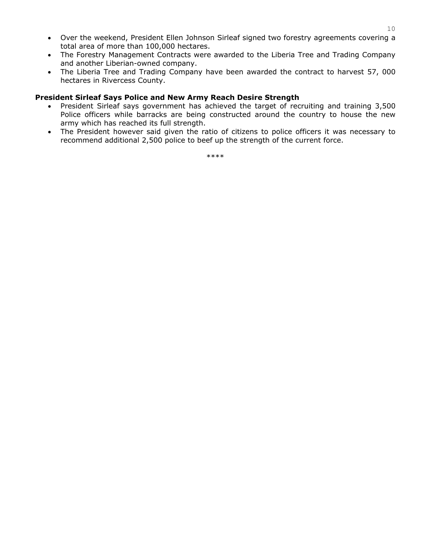- Over the weekend, President Ellen Johnson Sirleaf signed two forestry agreements covering a total area of more than 100,000 hectares.
- The Forestry Management Contracts were awarded to the Liberia Tree and Trading Company and another Liberian-owned company.
- The Liberia Tree and Trading Company have been awarded the contract to harvest 57, 000 hectares in Rivercess County.

#### **President Sirleaf Says Police and New Army Reach Desire Strength**

- President Sirleaf says government has achieved the target of recruiting and training 3,500 Police officers while barracks are being constructed around the country to house the new army which has reached its full strength.
- The President however said given the ratio of citizens to police officers it was necessary to recommend additional 2,500 police to beef up the strength of the current force.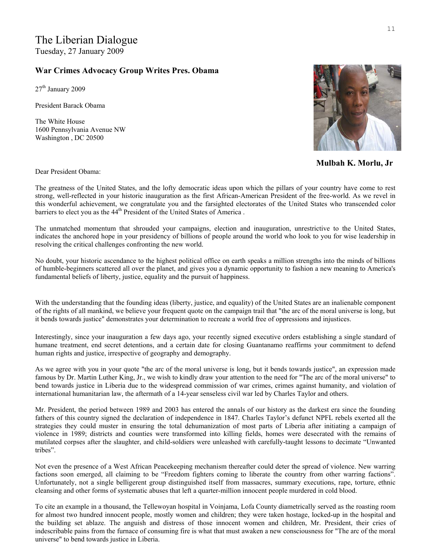#### **War Crimes Advocacy Group Writes Pres. Obama**

27<sup>th</sup> January 2009

President Barack Obama

The White House 1600 Pennsylvania Avenue NW Washington , DC 20500



**Mulbah K. Morlu, Jr**

Dear President Obama:

The greatness of the United States, and the lofty democratic ideas upon which the pillars of your country have come to rest strong, well-reflected in your historic inauguration as the first African-American President of the free-world. As we revel in this wonderful achievement, we congratulate you and the farsighted electorates of the United States who transcended color barriers to elect you as the 44<sup>th</sup> President of the United States of America.

The unmatched momentum that shrouded your campaigns, election and inauguration, unrestrictive to the United States, indicates the anchored hope in your presidency of billions of people around the world who look to you for wise leadership in resolving the critical challenges confronting the new world.

No doubt, your historic ascendance to the highest political office on earth speaks a million strengths into the minds of billions of humble-beginners scattered all over the planet, and gives you a dynamic opportunity to fashion a new meaning to America's fundamental beliefs of liberty, justice, equality and the pursuit of happiness.

With the understanding that the founding ideas (liberty, justice, and equality) of the United States are an inalienable component of the rights of all mankind, we believe your frequent quote on the campaign trail that "the arc of the moral universe is long, but it bends towards justice" demonstrates your determination to recreate a world free of oppressions and injustices.

Interestingly, since your inauguration a few days ago, your recently signed executive orders establishing a single standard of humane treatment, end secret detentions, and a certain date for closing Guantanamo reaffirms your commitment to defend human rights and justice, irrespective of geography and demography.

As we agree with you in your quote "the arc of the moral universe is long, but it bends towards justice", an expression made famous by Dr. Martin Luther King, Jr., we wish to kindly draw your attention to the need for "The arc of the moral universe" to bend towards justice in Liberia due to the widespread commission of war crimes, crimes against humanity, and violation of international humanitarian law, the aftermath of a 14-year senseless civil war led by Charles Taylor and others.

Mr. President, the period between 1989 and 2003 has entered the annals of our history as the darkest era since the founding fathers of this country signed the declaration of independence in 1847. Charles Taylor's defunct NPFL rebels exerted all the strategies they could muster in ensuring the total dehumanization of most parts of Liberia after initiating a campaign of violence in 1989; districts and counties were transformed into killing fields, homes were desecrated with the remains of mutilated corpses after the slaughter, and child-soldiers were unleashed with carefully-taught lessons to decimate "Unwanted tribes".

Not even the presence of a West African Peacekeeping mechanism thereafter could deter the spread of violence. New warring factions soon emerged, all claiming to be "Freedom fighters coming to liberate the country from other warring factions". Unfortunately, not a single belligerent group distinguished itself from massacres, summary executions, rape, torture, ethnic cleansing and other forms of systematic abuses that left a quarter-million innocent people murdered in cold blood.

To cite an example in a thousand, the Tellewoyan hospital in Voinjama, Lofa County diametrically served as the roasting room for almost two hundred innocent people, mostly women and children; they were taken hostage, locked-up in the hospital and the building set ablaze. The anguish and distress of those innocent women and children, Mr. President, their cries of indescribable pains from the furnace of consuming fire is what that must awaken a new consciousness for "The arc of the moral universe" to bend towards justice in Liberia.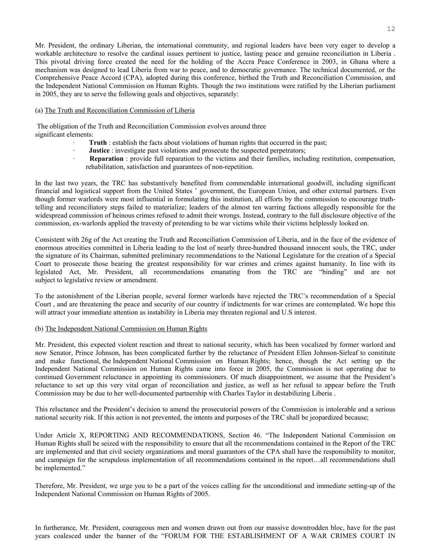Mr. President, the ordinary Liberian, the international community, and regional leaders have been very eager to develop a workable architecture to resolve the cardinal issues pertinent to justice, lasting peace and genuine reconciliation in Liberia . This pivotal driving force created the need for the holding of the Accra Peace Conference in 2003, in Ghana where a mechanism was designed to lead Liberia from war to peace, and to democratic governance. The technical documented, or the Comprehensive Peace Accord (CPA), adopted during this conference, birthed the Truth and Reconciliation Commission, and the Independent National Commission on Human Rights. Though the two institutions were ratified by the Liberian parliament in 2005, they are to serve the following goals and objectives, separately:

#### (a) The Truth and Reconciliation Commission of Liberia

 The obligation of the Truth and Reconciliation Commission evolves around three significant elements:

- Truth : establish the facts about violations of human rights that occurred in the past;
- **Justice**: investigate past violations and prosecute the suspected perpetrators;
- **Reparation**: provide full reparation to the victims and their families, including restitution, compensation, rehabilitation, satisfaction and guarantees of non-repetition.

In the last two years, the TRC has substantively benefited from commendable international goodwill, including significant financial and logistical support from the United States ' government, the European Union, and other external partners. Even though former warlords were most influential in formulating this institution, all efforts by the commission to encourage truthtelling and reconciliatory steps failed to materialize; leaders of the almost ten warring factions allegedly responsible for the widespread commission of heinous crimes refused to admit their wrongs. Instead, contrary to the full disclosure objective of the commission, ex-warlords applied the travesty of pretending to be war victims while their victims helplessly looked on.

Consistent with 26g of the Act creating the Truth and Reconciliation Commission of Liberia, and in the face of the evidence of enormous atrocities committed in Liberia leading to the lost of nearly three-hundred thousand innocent souls, the TRC, under the signature of its Chairman, submitted preliminary recommendations to the National Legislature for the creation of a Special Court to prosecute those bearing the greatest responsibility for war crimes and crimes against humanity. In line with its legislated Act, Mr. President, all recommendations emanating from the TRC are "binding" and are not subject to legislative review or amendment.

To the astonishment of the Liberian people, several former warlords have rejected the TRC's recommendation of a Special Court , and are threatening the peace and security of our country if indictments for war crimes are contemplated. We hope this will attract your immediate attention as instability in Liberia may threaten regional and U.S interest.

#### (b) The Independent National Commission on Human Rights

Mr. President, this expected violent reaction and threat to national security, which has been vocalized by former warlord and now Senator, Prince Johnson, has been complicated further by the reluctance of President Ellen Johnson-Sirleaf to constitute and make functional, the Independent National Commission on Human Rights; hence, though the Act setting up the Independent National Commission on Human Rights came into force in 2005, the Commission is not operating due to continued Government reluctance in appointing its commissioners. Of much disappointment, we assume that the President's reluctance to set up this very vital organ of reconciliation and justice, as well as her refusal to appear before the Truth Commission may be due to her well-documented partnership with Charles Taylor in destabilizing Liberia .

This reluctance and the President's decision to amend the prosecutorial powers of the Commission is intolerable and a serious national security risk. If this action is not prevented, the intents and purposes of the TRC shall be jeopardized because;

Under Article X, REPORTING AND RECOMMENDATIONS, Section 46. "The Independent National Commission on Human Rights shall be seized with the responsibility to ensure that all the recommendations contained in the Report of the TRC are implemented and that civil society organizations and moral guarantors of the CPA shall have the responsibility to monitor, and campaign for the scrupulous implementation of all recommendations contained in the report…all recommendations shall be implemented."

Therefore, Mr. President, we urge you to be a part of the voices calling for the unconditional and immediate setting-up of the Independent National Commission on Human Rights of 2005.

In furtherance, Mr. President, courageous men and women drawn out from our massive downtrodden bloc, have for the past years coalesced under the banner of the "FORUM FOR THE ESTABLISHMENT OF A WAR CRIMES COURT IN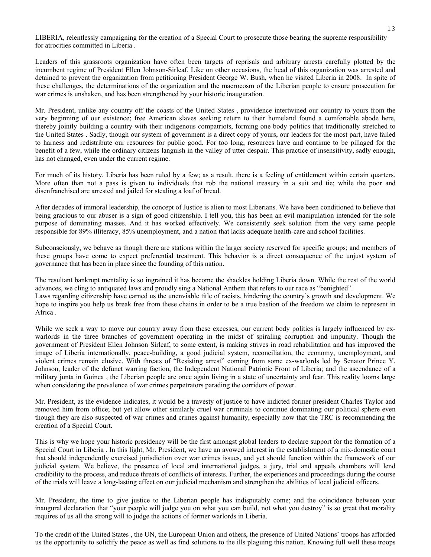LIBERIA, relentlessly campaigning for the creation of a Special Court to prosecute those bearing the supreme responsibility for atrocities committed in Liberia .

Leaders of this grassroots organization have often been targets of reprisals and arbitrary arrests carefully plotted by the incumbent regime of President Ellen Johnson-Sirleaf. Like on other occasions, the head of this organization was arrested and detained to prevent the organization from petitioning President George W. Bush, when he visited Liberia in 2008. In spite of these challenges, the determinations of the organization and the macrocosm of the Liberian people to ensure prosecution for war crimes is unshaken, and has been strengthened by your historic inauguration.

Mr. President, unlike any country off the coasts of the United States , providence intertwined our country to yours from the very beginning of our existence; free American slaves seeking return to their homeland found a comfortable abode here, thereby jointly building a country with their indigenous compatriots, forming one body politics that traditionally stretched to the United States . Sadly, though our system of government is a direct copy of yours, our leaders for the most part, have failed to harness and redistribute our resources for public good. For too long, resources have and continue to be pillaged for the benefit of a few, while the ordinary citizens languish in the valley of utter despair. This practice of insensitivity, sadly enough, has not changed, even under the current regime.

For much of its history, Liberia has been ruled by a few; as a result, there is a feeling of entitlement within certain quarters. More often than not a pass is given to individuals that rob the national treasury in a suit and tie; while the poor and disenfranchised are arrested and jailed for stealing a loaf of bread.

After decades of immoral leadership, the concept of Justice is alien to most Liberians. We have been conditioned to believe that being gracious to our abuser is a sign of good citizenship. I tell you, this has been an evil manipulation intended for the sole purpose of dominating masses. And it has worked effectively. We consistently seek solution from the very same people responsible for 89% illiteracy, 85% unemployment, and a nation that lacks adequate health-care and school facilities.

Subconsciously, we behave as though there are stations within the larger society reserved for specific groups; and members of these groups have come to expect preferential treatment. This behavior is a direct consequence of the unjust system of governance that has been in place since the founding of this nation.

The resultant bankrupt mentality is so ingrained it has become the shackles holding Liberia down. While the rest of the world advances, we cling to antiquated laws and proudly sing a National Anthem that refers to our race as "benighted". Laws regarding citizenship have earned us the unenviable title of racists, hindering the country's growth and development. We hope to inspire you help us break free from these chains in order to be a true bastion of the freedom we claim to represent in Africa .

While we seek a way to move our country away from these excesses, our current body politics is largely influenced by exwarlords in the three branches of government operating in the midst of spiraling corruption and impunity. Though the government of President Ellen Johnson Sirleaf, to some extent, is making strives in road rehabilitation and has improved the image of Liberia internationally, peace-building, a good judicial system, reconciliation, the economy, unemployment, and violent crimes remain elusive. With threats of "Resisting arrest" coming from some ex-warlords led by Senator Prince Y. Johnson, leader of the defunct warring faction, the Independent National Patriotic Front of Liberia; and the ascendance of a military junta in Guinea , the Liberian people are once again living in a state of uncertainty and fear. This reality looms large when considering the prevalence of war crimes perpetrators parading the corridors of power.

Mr. President, as the evidence indicates, it would be a travesty of justice to have indicted former president Charles Taylor and removed him from office; but yet allow other similarly cruel war criminals to continue dominating our political sphere even though they are also suspected of war crimes and crimes against humanity, especially now that the TRC is recommending the creation of a Special Court.

This is why we hope your historic presidency will be the first amongst global leaders to declare support for the formation of a Special Court in Liberia . In this light, Mr. President, we have an avowed interest in the establishment of a mix-domestic court that should independently exercised jurisdiction over war crimes issues, and yet should function within the framework of our judicial system. We believe, the presence of local and international judges, a jury, trial and appeals chambers will lend credibility to the process, and reduce threats of conflicts of interests. Further, the experiences and proceedings during the course of the trials will leave a long-lasting effect on our judicial mechanism and strengthen the abilities of local judicial officers.

Mr. President, the time to give justice to the Liberian people has indisputably come; and the coincidence between your inaugural declaration that "your people will judge you on what you can build, not what you destroy" is so great that morality requires of us all the strong will to judge the actions of former warlords in Liberia.

To the credit of the United States , the UN, the European Union and others, the presence of United Nations' troops has afforded us the opportunity to solidify the peace as well as find solutions to the ills plaguing this nation. Knowing full well these troops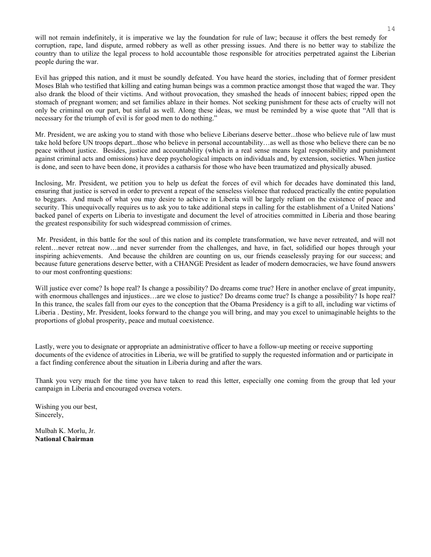will not remain indefinitely, it is imperative we lay the foundation for rule of law; because it offers the best remedy for corruption, rape, land dispute, armed robbery as well as other pressing issues. And there is no better way to stabilize the country than to utilize the legal process to hold accountable those responsible for atrocities perpetrated against the Liberian people during the war.

Evil has gripped this nation, and it must be soundly defeated. You have heard the stories, including that of former president Moses Blah who testified that killing and eating human beings was a common practice amongst those that waged the war. They also drank the blood of their victims. And without provocation, they smashed the heads of innocent babies; ripped open the stomach of pregnant women; and set families ablaze in their homes. Not seeking punishment for these acts of cruelty will not only be criminal on our part, but sinful as well. Along these ideas, we must be reminded by a wise quote that "All that is necessary for the triumph of evil is for good men to do nothing."

Mr. President, we are asking you to stand with those who believe Liberians deserve better...those who believe rule of law must take hold before UN troops depart...those who believe in personal accountability…as well as those who believe there can be no peace without justice. Besides, justice and accountability (which in a real sense means legal responsibility and punishment against criminal acts and omissions) have deep psychological impacts on individuals and, by extension, societies. When justice is done, and seen to have been done, it provides a catharsis for those who have been traumatized and physically abused.

Inclosing, Mr. President, we petition you to help us defeat the forces of evil which for decades have dominated this land, ensuring that justice is served in order to prevent a repeat of the senseless violence that reduced practically the entire population to beggars. And much of what you may desire to achieve in Liberia will be largely reliant on the existence of peace and security. This unequivocally requires us to ask you to take additional steps in calling for the establishment of a United Nations' backed panel of experts on Liberia to investigate and document the level of atrocities committed in Liberia and those bearing the greatest responsibility for such widespread commission of crimes.

 Mr. President, in this battle for the soul of this nation and its complete transformation, we have never retreated, and will not relent…never retreat now…and never surrender from the challenges, and have, in fact, solidified our hopes through your inspiring achievements. And because the children are counting on us, our friends ceaselessly praying for our success; and because future generations deserve better, with a CHANGE President as leader of modern democracies, we have found answers to our most confronting questions:

Will justice ever come? Is hope real? Is change a possibility? Do dreams come true? Here in another enclave of great impunity, with enormous challenges and injustices...are we close to justice? Do dreams come true? Is change a possibility? Is hope real? In this trance, the scales fall from our eyes to the conception that the Obama Presidency is a gift to all, including war victims of Liberia . Destiny, Mr. President, looks forward to the change you will bring, and may you excel to unimaginable heights to the proportions of global prosperity, peace and mutual coexistence.

Lastly, were you to designate or appropriate an administrative officer to have a follow-up meeting or receive supporting documents of the evidence of atrocities in Liberia, we will be gratified to supply the requested information and or participate in a fact finding conference about the situation in Liberia during and after the wars.

Thank you very much for the time you have taken to read this letter, especially one coming from the group that led your campaign in Liberia and encouraged oversea voters.

Wishing you our best, Sincerely,

Mulbah K. Morlu, Jr. **National Chairman**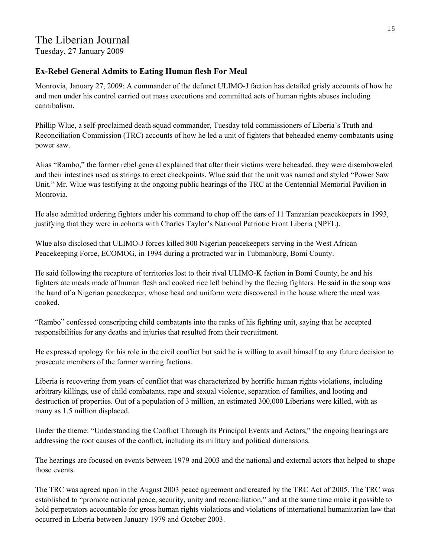## The Liberian Journal

Tuesday, 27 January 2009

#### **Ex-Rebel General Admits to Eating Human flesh For Meal**

Monrovia, January 27, 2009: A commander of the defunct ULIMO-J faction has detailed grisly accounts of how he and men under his control carried out mass executions and committed acts of human rights abuses including cannibalism.

Phillip Wlue, a self-proclaimed death squad commander, Tuesday told commissioners of Liberia's Truth and Reconciliation Commission (TRC) accounts of how he led a unit of fighters that beheaded enemy combatants using power saw.

Alias "Rambo," the former rebel general explained that after their victims were beheaded, they were disemboweled and their intestines used as strings to erect checkpoints. Wlue said that the unit was named and styled "Power Saw Unit." Mr. Wlue was testifying at the ongoing public hearings of the TRC at the Centennial Memorial Pavilion in Monrovia.

He also admitted ordering fighters under his command to chop off the ears of 11 Tanzanian peacekeepers in 1993, justifying that they were in cohorts with Charles Taylor's National Patriotic Front Liberia (NPFL).

Wlue also disclosed that ULIMO-J forces killed 800 Nigerian peacekeepers serving in the West African Peacekeeping Force, ECOMOG, in 1994 during a protracted war in Tubmanburg, Bomi County.

He said following the recapture of territories lost to their rival ULIMO-K faction in Bomi County, he and his fighters ate meals made of human flesh and cooked rice left behind by the fleeing fighters. He said in the soup was the hand of a Nigerian peacekeeper, whose head and uniform were discovered in the house where the meal was cooked.

"Rambo" confessed conscripting child combatants into the ranks of his fighting unit, saying that he accepted responsibilities for any deaths and injuries that resulted from their recruitment.

He expressed apology for his role in the civil conflict but said he is willing to avail himself to any future decision to prosecute members of the former warring factions.

Liberia is recovering from years of conflict that was characterized by horrific human rights violations, including arbitrary killings, use of child combatants, rape and sexual violence, separation of families, and looting and destruction of properties. Out of a population of 3 million, an estimated 300,000 Liberians were killed, with as many as 1.5 million displaced.

Under the theme: "Understanding the Conflict Through its Principal Events and Actors," the ongoing hearings are addressing the root causes of the conflict, including its military and political dimensions.

The hearings are focused on events between 1979 and 2003 and the national and external actors that helped to shape those events.

The TRC was agreed upon in the August 2003 peace agreement and created by the TRC Act of 2005. The TRC was established to "promote national peace, security, unity and reconciliation," and at the same time make it possible to hold perpetrators accountable for gross human rights violations and violations of international humanitarian law that occurred in Liberia between January 1979 and October 2003.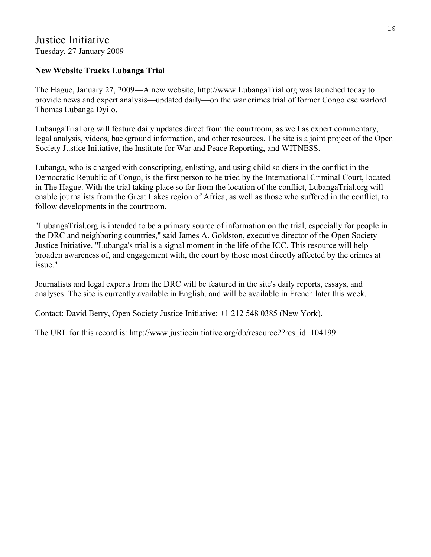## Justice Initiative Tuesday, 27 January 2009

## **New Website Tracks Lubanga Trial**

The Hague, January 27, 2009—A new website, http://www.LubangaTrial.org was launched today to provide news and expert analysis—updated daily—on the war crimes trial of former Congolese warlord Thomas Lubanga Dyilo.

LubangaTrial.org will feature daily updates direct from the courtroom, as well as expert commentary, legal analysis, videos, background information, and other resources. The site is a joint project of the Open Society Justice Initiative, the Institute for War and Peace Reporting, and WITNESS.

Lubanga, who is charged with conscripting, enlisting, and using child soldiers in the conflict in the Democratic Republic of Congo, is the first person to be tried by the International Criminal Court, located in The Hague. With the trial taking place so far from the location of the conflict, LubangaTrial.org will enable journalists from the Great Lakes region of Africa, as well as those who suffered in the conflict, to follow developments in the courtroom.

"LubangaTrial.org is intended to be a primary source of information on the trial, especially for people in the DRC and neighboring countries," said James A. Goldston, executive director of the Open Society Justice Initiative. "Lubanga's trial is a signal moment in the life of the ICC. This resource will help broaden awareness of, and engagement with, the court by those most directly affected by the crimes at issue."

Journalists and legal experts from the DRC will be featured in the site's daily reports, essays, and analyses. The site is currently available in English, and will be available in French later this week.

Contact: David Berry, Open Society Justice Initiative: +1 212 548 0385 (New York).

The URL for this record is: http://www.justiceinitiative.org/db/resource2?res\_id=104199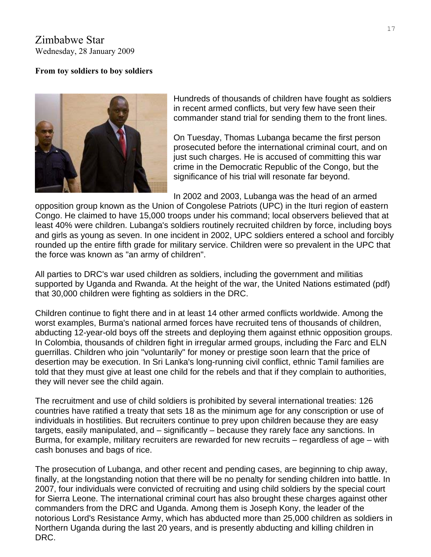Zimbabwe Star Wednesday, 28 January 2009

#### **From toy soldiers to boy soldiers**



Hundreds of thousands of children have fought as soldiers in recent armed conflicts, but very few have seen their commander stand trial for sending them to the front lines.

On Tuesday, Thomas Lubanga became the first person prosecuted before the international criminal court, and on just such charges. He is accused of committing this war crime in the Democratic Republic of the Congo, but the significance of his trial will resonate far beyond.

In 2002 and 2003, Lubanga was the head of an armed

opposition group known as the Union of Congolese Patriots (UPC) in the Ituri region of eastern Congo. He claimed to have 15,000 troops under his command; local observers believed that at least 40% were children. Lubanga's soldiers routinely recruited children by force, including boys and girls as young as seven. In one incident in 2002, UPC soldiers entered a school and forcibly rounded up the entire fifth grade for military service. Children were so prevalent in the UPC that the force was known as "an army of children".

All parties to DRC's war used children as soldiers, including the government and militias supported by Uganda and Rwanda. At the height of the war, the United Nations estimated (pdf) that 30,000 children were fighting as soldiers in the DRC.

Children continue to fight there and in at least 14 other armed conflicts worldwide. Among the worst examples, Burma's national armed forces have recruited tens of thousands of children, abducting 12-year-old boys off the streets and deploying them against ethnic opposition groups. In Colombia, thousands of children fight in irregular armed groups, including the Farc and ELN guerrillas. Children who join "voluntarily" for money or prestige soon learn that the price of desertion may be execution. In Sri Lanka's long-running civil conflict, ethnic Tamil families are told that they must give at least one child for the rebels and that if they complain to authorities, they will never see the child again.

The recruitment and use of child soldiers is prohibited by several international treaties: 126 countries have ratified a treaty that sets 18 as the minimum age for any conscription or use of individuals in hostilities. But recruiters continue to prey upon children because they are easy targets, easily manipulated, and – significantly – because they rarely face any sanctions. In Burma, for example, military recruiters are rewarded for new recruits – regardless of age – with cash bonuses and bags of rice.

The prosecution of Lubanga, and other recent and pending cases, are beginning to chip away, finally, at the longstanding notion that there will be no penalty for sending children into battle. In 2007, four individuals were convicted of recruiting and using child soldiers by the special court for Sierra Leone. The international criminal court has also brought these charges against other commanders from the DRC and Uganda. Among them is Joseph Kony, the leader of the notorious Lord's Resistance Army, which has abducted more than 25,000 children as soldiers in Northern Uganda during the last 20 years, and is presently abducting and killing children in DRC.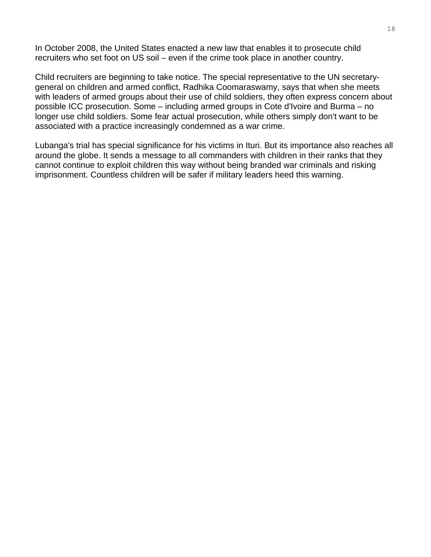In October 2008, the United States enacted a new law that enables it to prosecute child recruiters who set foot on US soil – even if the crime took place in another country.

Child recruiters are beginning to take notice. The special representative to the UN secretarygeneral on children and armed conflict, Radhika Coomaraswamy, says that when she meets with leaders of armed groups about their use of child soldiers, they often express concern about possible ICC prosecution. Some – including armed groups in Cote d'Ivoire and Burma – no longer use child soldiers. Some fear actual prosecution, while others simply don't want to be associated with a practice increasingly condemned as a war crime.

Lubanga's trial has special significance for his victims in Ituri. But its importance also reaches all around the globe. It sends a message to all commanders with children in their ranks that they cannot continue to exploit children this way without being branded war criminals and risking imprisonment. Countless children will be safer if military leaders heed this warning.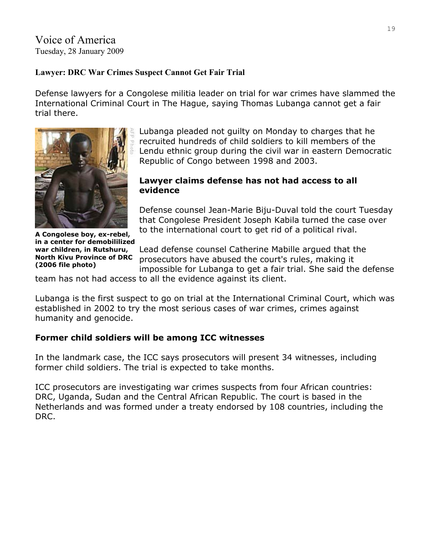Voice of America Tuesday, 28 January 2009

## **Lawyer: DRC War Crimes Suspect Cannot Get Fair Trial**

Defense lawyers for a Congolese militia leader on trial for war crimes have slammed the International Criminal Court in The Hague, saying Thomas Lubanga cannot get a fair trial there.



Lubanga pleaded not guilty on Monday to charges that he recruited hundreds of child soldiers to kill members of the Lendu ethnic group during the civil war in eastern Democratic Republic of Congo between 1998 and 2003.

#### **Lawyer claims defense has not had access to all evidence**

Defense counsel Jean-Marie Biju-Duval told the court Tuesday that Congolese President Joseph Kabila turned the case over to the international court to get rid of a political rival.

**A Congolese boy, ex-rebel, in a center for demobililized war children, in Rutshuru, North Kivu Province of DRC (2006 file photo)** 

Lead defense counsel Catherine Mabille argued that the prosecutors have abused the court's rules, making it impossible for Lubanga to get a fair trial. She said the defense

team has not had access to all the evidence against its client.

Lubanga is the first suspect to go on trial at the International Criminal Court, which was established in 2002 to try the most serious cases of war crimes, crimes against humanity and genocide.

## **Former child soldiers will be among ICC witnesses**

In the landmark case, the ICC says prosecutors will present 34 witnesses, including former child soldiers. The trial is expected to take months.

ICC prosecutors are investigating war crimes suspects from four African countries: DRC, Uganda, Sudan and the Central African Republic. The court is based in the Netherlands and was formed under a treaty endorsed by 108 countries, including the DRC.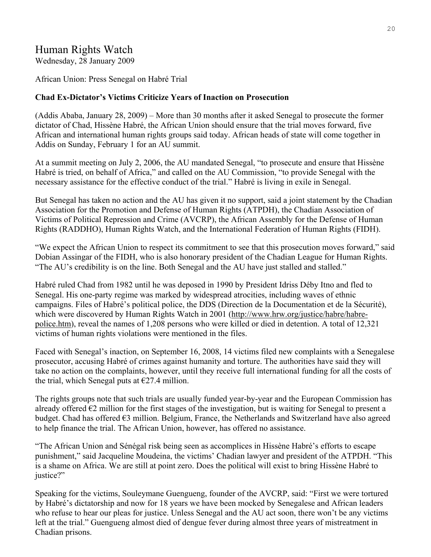## Human Rights Watch

Wednesday, 28 January 2009

African Union: Press Senegal on Habré Trial

#### **Chad Ex-Dictator's Victims Criticize Years of Inaction on Prosecution**

(Addis Ababa, January 28, 2009) – More than 30 months after it asked Senegal to prosecute the former dictator of Chad, Hissène Habré, the African Union should ensure that the trial moves forward, five African and international human rights groups said today. African heads of state will come together in Addis on Sunday, February 1 for an AU summit.

At a summit meeting on July 2, 2006, the AU mandated Senegal, "to prosecute and ensure that Hissène Habré is tried, on behalf of Africa," and called on the AU Commission, "to provide Senegal with the necessary assistance for the effective conduct of the trial." Habré is living in exile in Senegal.

But Senegal has taken no action and the AU has given it no support, said a joint statement by the Chadian Association for the Promotion and Defense of Human Rights (ATPDH), the Chadian Association of Victims of Political Repression and Crime (AVCRP), the African Assembly for the Defense of Human Rights (RADDHO), Human Rights Watch, and the International Federation of Human Rights (FIDH).

"We expect the African Union to respect its commitment to see that this prosecution moves forward," said Dobian Assingar of the FIDH, who is also honorary president of the Chadian League for Human Rights. "The AU's credibility is on the line. Both Senegal and the AU have just stalled and stalled."

Habré ruled Chad from 1982 until he was deposed in 1990 by President Idriss Déby Itno and fled to Senegal. His one-party regime was marked by widespread atrocities, including waves of ethnic campaigns. Files of Habré's political police, the DDS (Direction de la Documentation et de la Sécurité), which were discovered by Human Rights Watch in 2001 (http://www.hrw.org/justice/habre/habrepolice.htm), reveal the names of 1,208 persons who were killed or died in detention. A total of 12,321 victims of human rights violations were mentioned in the files.

Faced with Senegal's inaction, on September 16, 2008, 14 victims filed new complaints with a Senegalese prosecutor, accusing Habré of crimes against humanity and torture. The authorities have said they will take no action on the complaints, however, until they receive full international funding for all the costs of the trial, which Senegal puts at  $\epsilon$ 27.4 million.

The rights groups note that such trials are usually funded year-by-year and the European Commission has already offered  $\epsilon$ 2 million for the first stages of the investigation, but is waiting for Senegal to present a budget. Chad has offered  $\epsilon$ 3 million. Belgium, France, the Netherlands and Switzerland have also agreed to help finance the trial. The African Union, however, has offered no assistance.

"The African Union and Sénégal risk being seen as accomplices in Hissène Habré's efforts to escape punishment," said Jacqueline Moudeina, the victims' Chadian lawyer and president of the ATPDH. "This is a shame on Africa. We are still at point zero. Does the political will exist to bring Hissène Habré to iustice?"

Speaking for the victims, Souleymane Guengueng, founder of the AVCRP, said: "First we were tortured by Habré's dictatorship and now for 18 years we have been mocked by Senegalese and African leaders who refuse to hear our pleas for justice. Unless Senegal and the AU act soon, there won't be any victims left at the trial." Guengueng almost died of dengue fever during almost three years of mistreatment in Chadian prisons.